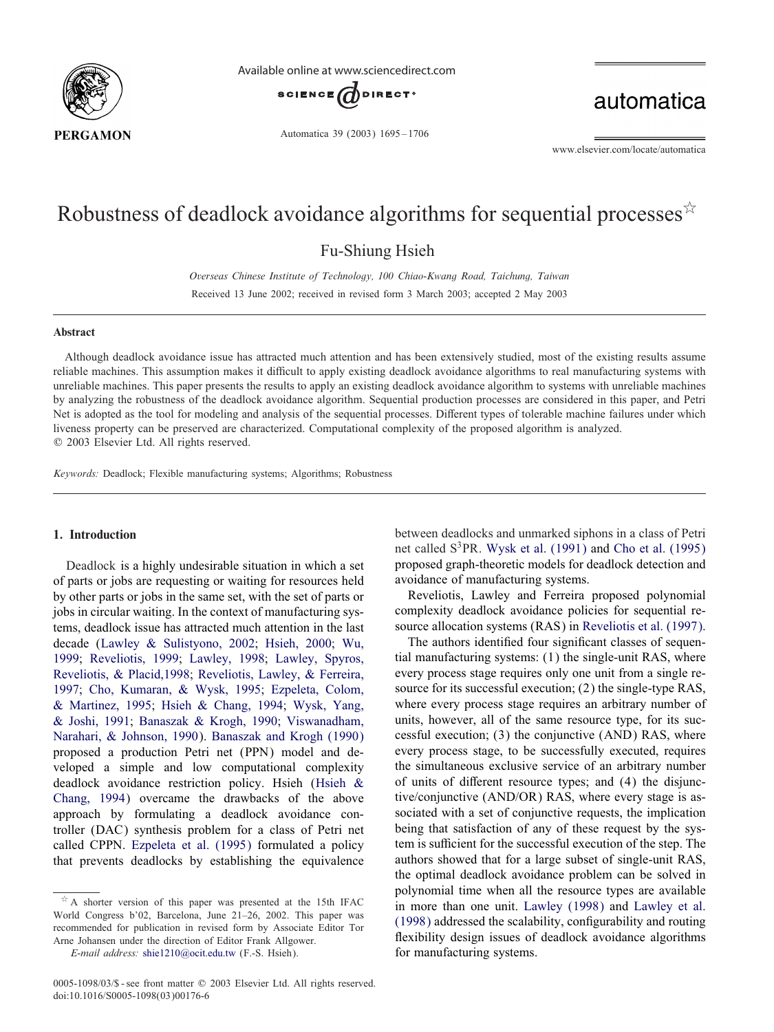

Available online at www.sciencedirect.com



automatica

Automatica 39 (2003) 1695 – 1706

www.elsevier.com/locate/automatica

## Robustness of deadlock avoidance algorithms for sequential processes  $\vec{x}$

Fu-Shiung Hsieh

*Overseas Chinese Institute of Technology, 100 Chiao-Kwang Road, Taichung, Taiwan* Received 13 June 2002; received in revised form 3 March 2003; accepted 2 May 2003

## Abstract

Although deadlock avoidance issue has attracted much attention and has been extensively studied, most of the existing results assume reliable machines. This assumption makes it difficult to apply existing deadlock avoidance algorithms to real manufacturing systems with unreliable machines. This paper presents the results to apply an existing deadlock avoidance algorithm to systems with unreliable machines by analyzing the robustness of the deadlock avoidance algorithm. Sequential production processes are considered in this paper, and Petri Net is adopted as the tool for modeling and analysis of the sequential processes. Different types of tolerable machine failures under which liveness property can be preserved are characterized. Computational complexity of the proposed algorithm is analyzed. ? 2003 Elsevier Ltd. All rights reserved.

*Keywords:* Deadlock; Flexible manufacturing systems; Algorithms; Robustness

## 1. Introduction

Deadlock is a highly undesirable situation in which a set of parts or jobs are requesting or waiting for resources held by other parts or jobs in the same set, with the set of parts or jobs in circular waiting. In the context of manufacturing systems, deadlock issue has attracted much attention in the last decade [\(Lawley & Sulistyono, 2002;](#page--1-0) [Hsieh, 2000;](#page--1-0) [Wu,](#page--1-0) [1999;](#page--1-0) [Reveliotis, 1999;](#page--1-0) [Lawley, 1998;](#page--1-0) [Lawley, Spyros,](#page--1-0) [Reveliotis, & Placid,1998;](#page--1-0) [Reveliotis, Lawley, & Ferreira,](#page--1-0) [1997;](#page--1-0) [Cho, Kumaran, & Wysk, 1995;](#page--1-0) [Ezpeleta, Colom,](#page--1-0) [& Martinez, 1995;](#page--1-0) [Hsieh & Chang, 1994;](#page--1-0) [Wysk, Yang,](#page--1-0) [& Joshi, 1991;](#page--1-0) [Banaszak & Krogh, 1990;](#page--1-0) [Viswanadham,](#page--1-0) [Narahari, & Johnson, 1990\)](#page--1-0). Banaszak and Krogh (1990) proposed a production Petri net (PPN) model and developed a simple and low computational complexity deadlock avoidance restriction policy. Hsieh [\(Hsieh &](#page--1-0) [Chang, 1994\)](#page--1-0) overcame the drawbacks of the above approach by formulating a deadlock avoidance controller (DAC) synthesis problem for a class of Petri net called CPPN. [Ezpeleta et al. \(1995\)](#page--1-0) formulated a policy that prevents deadlocks by establishing the equivalence

 $A \times A$  shorter version of this paper was presented at the 15th IFAC World Congress b'02, Barcelona, June 21-26, 2002. This paper was recommended for publication in revised form by Associate Editor Tor Arne Johansen under the direction of Editor Frank Allgower.

between deadlocks and unmarked siphons in a class of Petri net called  $S^3$ PR. [Wysk et al. \(1991\)](#page--1-0) and [Cho et al. \(1995\)](#page--1-0) proposed graph-theoretic models for deadlock detection and avoidance of manufacturing systems.

Reveliotis, Lawley and Ferreira proposed polynomial complexity deadlock avoidance policies for sequential resource allocation systems (RAS) in [Reveliotis et al. \(1997\).](#page--1-0)

The authors identified four significant classes of sequential manufacturing systems: (1) the single-unit RAS, where every process stage requires only one unit from a single resource for its successful execution; (2) the single-type RAS, where every process stage requires an arbitrary number of units, however, all of the same resource type, for its successful execution; (3) the conjunctive (AND) RAS, where every process stage, to be successfully executed, requires the simultaneous exclusive service of an arbitrary number of units of different resource types; and  $(4)$  the disjunctive/conjunctive (AND/OR) RAS, where every stage is associated with a set of conjunctive requests, the implication being that satisfaction of any of these request by the system is sufficient for the successful execution of the step. The authors showed that for a large subset of single-unit RAS, the optimal deadlock avoidance problem can be solved in polynomial time when all the resource types are available in more than one unit. [Lawley \(1998\)](#page--1-0) and [Lawley et al.](#page--1-0) [\(1998\)](#page--1-0) addressed the scalability, configurability and routing flexibility design issues of deadlock avoidance algorithms for manufacturing systems.

*E-mail address:* [shie1210@ocit.edu.tw](mailto:shie1210@ocit.edu.tw) (F.-S. Hsieh).

<sup>0005-1098/03/\$ -</sup> see front matter © 2003 Elsevier Ltd. All rights reserved. doi:10.1016/S0005-1098(03)00176-6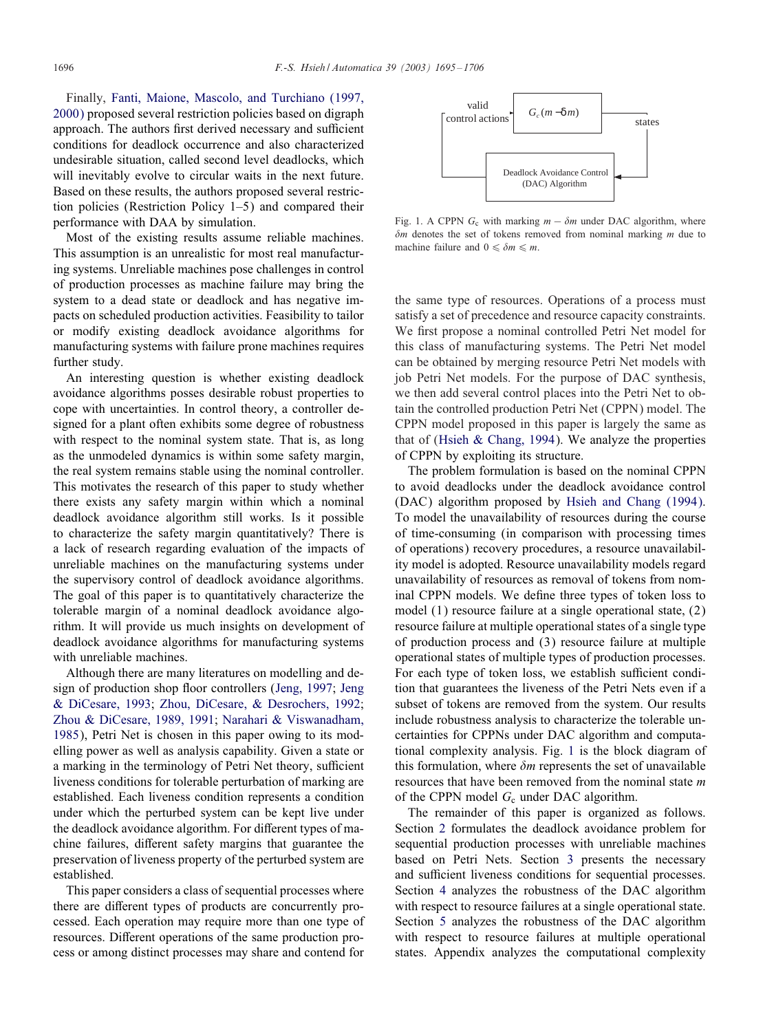Finally, Fanti, Maione, Mascolo, and Turchiano (1997, [2000\)](#page--1-0) proposed several restriction policies based on digraph approach. The authors first derived necessary and sufficient conditions for deadlock occurrence and also characterized undesirable situation, called second level deadlocks, which will inevitably evolve to circular waits in the next future. Based on these results, the authors proposed several restriction policies (Restriction Policy  $1-5$ ) and compared their performance with DAA by simulation.

Most of the existing results assume reliable machines. This assumption is an unrealistic for most real manufacturing systems. Unreliable machines pose challenges in control of production processes as machine failure may bring the system to a dead state or deadlock and has negative impacts on scheduled production activities. Feasibility to tailor or modify existing deadlock avoidance algorithms for manufacturing systems with failure prone machines requires further study.

An interesting question is whether existing deadlock avoidance algorithms posses desirable robust properties to cope with uncertainties. In control theory, a controller designed for a plant often exhibits some degree of robustness with respect to the nominal system state. That is, as long as the unmodeled dynamics is within some safety margin, the real system remains stable using the nominal controller. This motivates the research of this paper to study whether there exists any safety margin within which a nominal deadlock avoidance algorithm still works. Is it possible to characterize the safety margin quantitatively? There is a lack of research regarding evaluation of the impacts of unreliable machines on the manufacturing systems under the supervisory control of deadlock avoidance algorithms. The goal of this paper is to quantitatively characterize the tolerable margin of a nominal deadlock avoidance algorithm. It will provide us much insights on development of deadlock avoidance algorithms for manufacturing systems with unreliable machines.

Although there are many literatures on modelling and design of production shop Ioor controllers [\(Jeng, 1997;](#page--1-0) [Jeng](#page--1-0) [& DiCesare, 1993;](#page--1-0) [Zhou, DiCesare, & Desrochers, 1992;](#page--1-0) [Zhou & DiCesare, 1989, 1991;](#page--1-0) [Narahari & Viswanadham,](#page--1-0) [1985\)](#page--1-0), Petri Net is chosen in this paper owing to its modelling power as well as analysis capability. Given a state or a marking in the terminology of Petri Net theory, sufficient liveness conditions for tolerable perturbation of marking are established. Each liveness condition represents a condition under which the perturbed system can be kept live under the deadlock avoidance algorithm. For different types of machine failures, different safety margins that guarantee the preservation of liveness property of the perturbed system are established.

This paper considers a class of sequential processes where there are different types of products are concurrently processed. Each operation may require more than one type of resources. Different operations of the same production process or among distinct processes may share and contend for



Fig. 1. A CPPN  $G_c$  with marking  $m - \delta m$  under DAC algorithm, where  $\delta m$  denotes the set of tokens removed from nominal marking  $m$  due to machine failure and  $0 \le \delta m \le m$ .

the same type of resources. Operations of a process must satisfy a set of precedence and resource capacity constraints. We first propose a nominal controlled Petri Net model for this class of manufacturing systems. The Petri Net model can be obtained by merging resource Petri Net models with job Petri Net models. For the purpose of DAC synthesis, we then add several control places into the Petri Net to obtain the controlled production Petri Net (CPPN) model. The CPPN model proposed in this paper is largely the same as that of (Hsieh  $&$  Chang, 1994). We analyze the properties of CPPN by exploiting its structure.

The problem formulation is based on the nominal CPPN to avoid deadlocks under the deadlock avoidance control (DAC) algorithm proposed by Hsieh and Chang (1994). To model the unavailability of resources during the course of time-consuming (in comparison with processing times of operations) recovery procedures, a resource unavailability model is adopted. Resource unavailability models regard unavailability of resources as removal of tokens from nominal CPPN models. We define three types of token loss to model (1) resource failure at a single operational state, (2) resource failure at multiple operational states of a single type of production process and (3) resource failure at multiple operational states of multiple types of production processes. For each type of token loss, we establish sufficient condition that guarantees the liveness of the Petri Nets even if a subset of tokens are removed from the system. Our results include robustness analysis to characterize the tolerable uncertainties for CPPNs under DAC algorithm and computational complexity analysis. Fig. 1 is the block diagram of this formulation, where  $\delta m$  represents the set of unavailable resources that have been removed from the nominal state  $m$ of the CPPN model  $G_c$  under DAC algorithm.

The remainder of this paper is organized as follows. Section [2](#page--1-0) formulates the deadlock avoidance problem for sequential production processes with unreliable machines based on Petri Nets. Section [3](#page--1-0) presents the necessary and sufficient liveness conditions for sequential processes. Section [4](#page--1-0) analyzes the robustness of the DAC algorithm with respect to resource failures at a single operational state. Section [5](#page--1-0) analyzes the robustness of the DAC algorithm with respect to resource failures at multiple operational states. Appendix analyzes the computational complexity